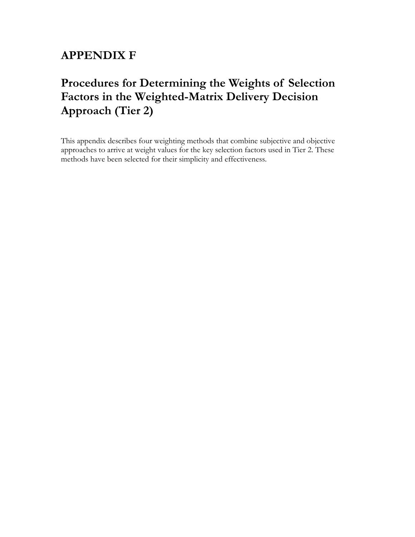# **APPENDIX F**

# **Procedures for Determining the Weights of Selection Factors in the Weighted-Matrix Delivery Decision Approach (Tier 2)**

This appendix describes four weighting methods that combine subjective and objective approaches to arrive at weight values for the key selection factors used in Tier 2. These methods have been selected for their simplicity and effectiveness.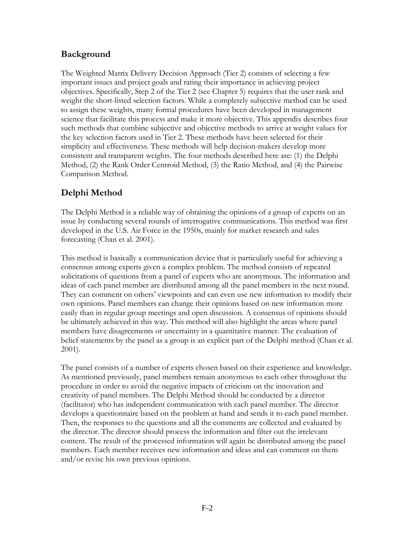#### **Background**

The Weighted Matrix Delivery Decision Approach (Tier 2) consists of selecting a few important issues and project goals and rating their importance in achieving project objectives. Specifically, Step 2 of the Tier 2 (see Chapter 5) requires that the user rank and weight the short-listed selection factors. While a completely subjective method can be used to assign these weights, many formal procedures have been developed in management science that facilitate this process and make it more objective. This appendix describes four such methods that combine subjective and objective methods to arrive at weight values for the key selection factors used in Tier 2. These methods have been selected for their simplicity and effectiveness. These methods will help decision-makers develop more consistent and transparent weights. The four methods described here are: (1) the Delphi Method, (2) the Rank Order Centroid Method, (3) the Ratio Method, and (4) the Pairwise Comparison Method.

## **Delphi Method**

The Delphi Method is a reliable way of obtaining the opinions of a group of experts on an issue by conducting several rounds of interrogative communications. This method was first developed in the U.S. Air Force in the 1950s, mainly for market research and sales forecasting (Chan et al. 2001).

This method is basically a communication device that is particularly useful for achieving a consensus among experts given a complex problem. The method consists of repeated solicitations of questions from a panel of experts who are anonymous. The information and ideas of each panel member are distributed among all the panel members in the next round. They can comment on others' viewpoints and can even use new information to modify their own opinions. Panel members can change their opinions based on new information more easily than in regular group meetings and open discussion. A consensus of opinions should be ultimately achieved in this way. This method will also highlight the areas where panel members have disagreements or uncertainty in a quantitative manner. The evaluation of belief statements by the panel as a group is an explicit part of the Delphi method (Chan et al. 2001).

The panel consists of a number of experts chosen based on their experience and knowledge. As mentioned previously, panel members remain anonymous to each other throughout the procedure in order to avoid the negative impacts of criticism on the innovation and creativity of panel members. The Delphi Method should be conducted by a director (facilitator) who has independent communication with each panel member. The director develops a questionnaire based on the problem at hand and sends it to each panel member. Then, the responses to the questions and all the comments are collected and evaluated by the director. The director should process the information and filter out the irrelevant content. The result of the processed information will again be distributed among the panel members. Each member receives new information and ideas and can comment on them and/or revise his own previous opinions.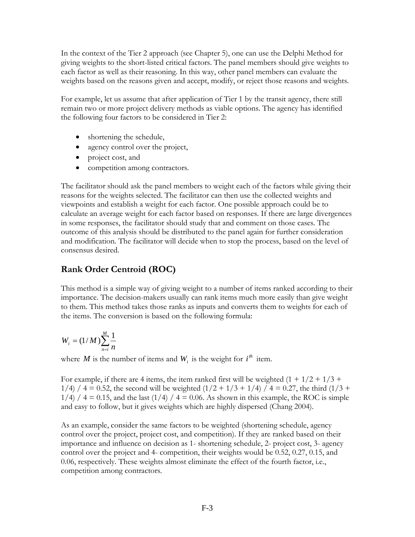In the context of the Tier 2 approach (see Chapter 5), one can use the Delphi Method for giving weights to the short-listed critical factors. The panel members should give weights to each factor as well as their reasoning. In this way, other panel members can evaluate the weights based on the reasons given and accept, modify, or reject those reasons and weights.

For example, let us assume that after application of Tier 1 by the transit agency, there still remain two or more project delivery methods as viable options. The agency has identified the following four factors to be considered in Tier 2:

- shortening the schedule,
- agency control over the project,
- project cost, and
- competition among contractors.

The facilitator should ask the panel members to weight each of the factors while giving their reasons for the weights selected. The facilitator can then use the collected weights and viewpoints and establish a weight for each factor. One possible approach could be to calculate an average weight for each factor based on responses. If there are large divergences in some responses, the facilitator should study that and comment on those cases. The outcome of this analysis should be distributed to the panel again for further consideration and modification. The facilitator will decide when to stop the process, based on the level of consensus desired.

#### **Rank Order Centroid (ROC)**

This method is a simple way of giving weight to a number of items ranked according to their importance. The decision-makers usually can rank items much more easily than give weight to them. This method takes those ranks as inputs and converts them to weights for each of the items. The conversion is based on the following formula:

$$
W_i=(1/M)\sum_{n=i}^M \frac{1}{n}
$$

where *M* is the number of items and  $W_i$  is the weight for  $i^{th}$  item.

For example, if there are 4 items, the item ranked first will be weighted  $(1 + 1/2 + 1/3 + 1)$ 1/4) / 4 = 0.52, the second will be weighted  $(1/2 + 1/3 + 1/4)$  / 4 = 0.27, the third  $(1/3 + 1/4)$  $1/4$ ) /  $4 = 0.15$ , and the last  $(1/4)$  /  $4 = 0.06$ . As shown in this example, the ROC is simple and easy to follow, but it gives weights which are highly dispersed (Chang 2004).

As an example, consider the same factors to be weighted (shortening schedule, agency control over the project, project cost, and competition). If they are ranked based on their importance and influence on decision as 1- shortening schedule, 2- project cost, 3- agency control over the project and 4- competition, their weights would be 0.52, 0.27, 0.15, and 0.06, respectively. These weights almost eliminate the effect of the fourth factor, i.e., competition among contractors.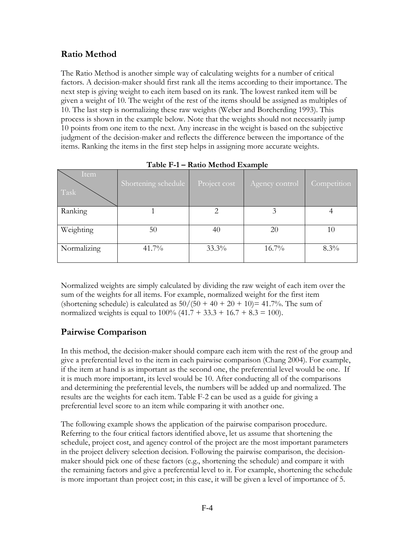### **Ratio Method**

The Ratio Method is another simple way of calculating weights for a number of critical factors. A decision-maker should first rank all the items according to their importance. The next step is giving weight to each item based on its rank. The lowest ranked item will be given a weight of 10. The weight of the rest of the items should be assigned as multiples of 10. The last step is normalizing these raw weights (Weber and Borcherding 1993). This process is shown in the example below. Note that the weights should not necessarily jump 10 points from one item to the next. Any increase in the weight is based on the subjective judgment of the decision-maker and reflects the difference between the importance of the items. Ranking the items in the first step helps in assigning more accurate weights.

| Item<br>Task | Shortening schedule | Project cost | Agency control | Competition |
|--------------|---------------------|--------------|----------------|-------------|
| Ranking      |                     |              |                |             |
| Weighting    | 50                  | 40           | 20             | 10          |
| Normalizing  | 41.7%               | 33.3%        | 16.7%          | $8.3\%$     |

**Table F-1 – Ratio Method Example** 

Normalized weights are simply calculated by dividing the raw weight of each item over the sum of the weights for all items. For example, normalized weight for the first item (shortening schedule) is calculated as  $50/(50 + 40 + 20 + 10) = 41.7\%$ . The sum of normalized weights is equal to  $100\%$  (41.7 + 33.3 + 16.7 + 8.3 = 100).

### **Pairwise Comparison**

In this method, the decision-maker should compare each item with the rest of the group and give a preferential level to the item in each pairwise comparison (Chang 2004). For example, if the item at hand is as important as the second one, the preferential level would be one. If it is much more important, its level would be 10. After conducting all of the comparisons and determining the preferential levels, the numbers will be added up and normalized. The results are the weights for each item. Table F-2 can be used as a guide for giving a preferential level score to an item while comparing it with another one.

The following example shows the application of the pairwise comparison procedure. Referring to the four critical factors identified above, let us assume that shortening the schedule, project cost, and agency control of the project are the most important parameters in the project delivery selection decision. Following the pairwise comparison, the decisionmaker should pick one of these factors (e.g., shortening the schedule) and compare it with the remaining factors and give a preferential level to it. For example, shortening the schedule is more important than project cost; in this case, it will be given a level of importance of 5.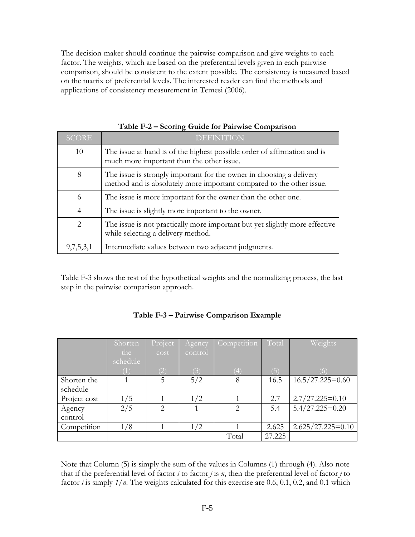The decision-maker should continue the pairwise comparison and give weights to each factor. The weights, which are based on the preferential levels given in each pairwise comparison, should be consistent to the extent possible. The consistency is measured based on the matrix of preferential levels. The interested reader can find the methods and applications of consistency measurement in Temesi (2006).

| <b>SCORE</b>  | <b>DEFINITION</b>                                                                                                                            |
|---------------|----------------------------------------------------------------------------------------------------------------------------------------------|
| 10            | The issue at hand is of the highest possible order of affirmation and is<br>much more important than the other issue.                        |
| 8             | The issue is strongly important for the owner in choosing a delivery<br>method and is absolutely more important compared to the other issue. |
| 6             | The issue is more important for the owner than the other one.                                                                                |
| 4             | The issue is slightly more important to the owner.                                                                                           |
| $\mathcal{L}$ | The issue is not practically more important but yet slightly more effective<br>while selecting a delivery method.                            |
| 9,7,5,3,1     | Intermediate values between two adjacent judgments.                                                                                          |

|  |  |  |  | Table F-2 - Scoring Guide for Pairwise Comparison |
|--|--|--|--|---------------------------------------------------|
|--|--|--|--|---------------------------------------------------|

Table F-3 shows the rest of the hypothetical weights and the normalizing process, the last step in the pairwise comparison approach.

|              | Shorten  | Project        | Agency  | Competition                 | Total  | Weights             |
|--------------|----------|----------------|---------|-----------------------------|--------|---------------------|
|              | the      | cost           | control |                             |        |                     |
|              | schedule |                |         |                             |        |                     |
|              | (1)      | (2)            | (3)     | (4)                         | (5)    | $\sqrt{6}$          |
| Shorten the  |          | 5              | 5/2     | 8                           | 16.5   | $16.5/27.225=0.60$  |
| schedule     |          |                |         |                             |        |                     |
| Project cost | 1/5      |                | 1/2     |                             | 2.7    | $2.7/27.225=0.10$   |
| Agency       | 2/5      | $\mathfrak{D}$ |         | $\mathcal{D}_{\mathcal{L}}$ | 5.4    | $5.4/27.225=0.20$   |
| control      |          |                |         |                             |        |                     |
| Competition  | 1/8      |                | 1/2     |                             | 2.625  | $2.625/27.225=0.10$ |
|              |          |                |         | $Total =$                   | 27.225 |                     |

**Table F-3 – Pairwise Comparison Example** 

Note that Column (5) is simply the sum of the values in Columns (1) through (4). Also note that if the preferential level of factor  $i$  to factor  $j$  is  $n$ , then the preferential level of factor  $j$  to factor *i* is simply *1/n*. The weights calculated for this exercise are 0.6, 0.1, 0.2, and 0.1 which